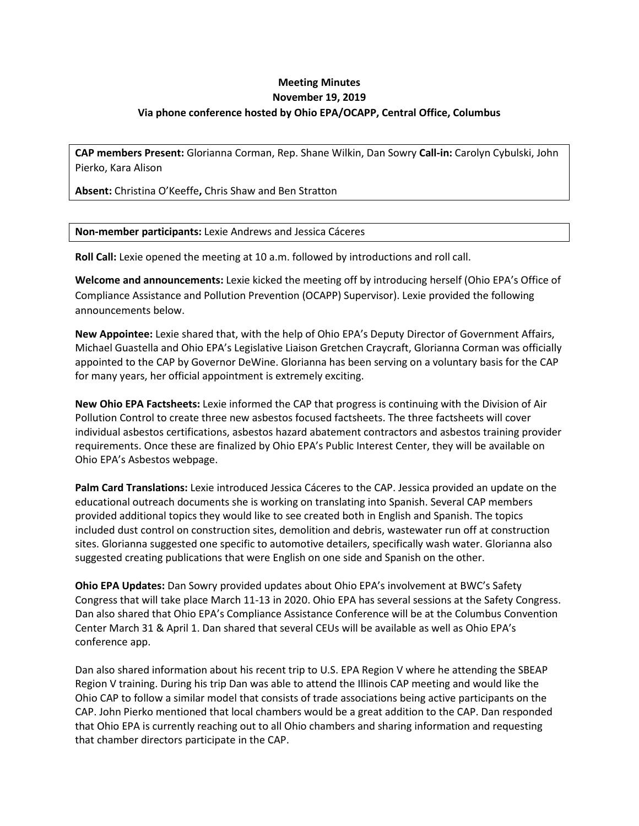## **Meeting Minutes November 19, 2019 Via phone conference hosted by Ohio EPA/OCAPP, Central Office, Columbus**

**CAP members Present:** Glorianna Corman, Rep. Shane Wilkin, Dan Sowry **Call-in:** Carolyn Cybulski, John Pierko, Kara Alison

**Absent:** Christina O'Keeffe**,** Chris Shaw and Ben Stratton

**Non-member participants:** Lexie Andrews and Jessica Cáceres

**Roll Call:** Lexie opened the meeting at 10 a.m. followed by introductions and roll call.

**Welcome and announcements:** Lexie kicked the meeting off by introducing herself (Ohio EPA's Office of Compliance Assistance and Pollution Prevention (OCAPP) Supervisor). Lexie provided the following announcements below.

**New Appointee:** Lexie shared that, with the help of Ohio EPA's Deputy Director of Government Affairs, Michael Guastella and Ohio EPA's Legislative Liaison Gretchen Craycraft, Glorianna Corman was officially appointed to the CAP by Governor DeWine. Glorianna has been serving on a voluntary basis for the CAP for many years, her official appointment is extremely exciting.

**New Ohio EPA Factsheets:** Lexie informed the CAP that progress is continuing with the Division of Air Pollution Control to create three new asbestos focused factsheets. The three factsheets will cover individual asbestos certifications, asbestos hazard abatement contractors and asbestos training provider requirements. Once these are finalized by Ohio EPA's Public Interest Center, they will be available on Ohio EPA's Asbestos webpage.

**Palm Card Translations:** Lexie introduced Jessica Cáceres to the CAP. Jessica provided an update on the educational outreach documents she is working on translating into Spanish. Several CAP members provided additional topics they would like to see created both in English and Spanish. The topics included dust control on construction sites, demolition and debris, wastewater run off at construction sites. Glorianna suggested one specific to automotive detailers, specifically wash water. Glorianna also suggested creating publications that were English on one side and Spanish on the other.

**Ohio EPA Updates:** Dan Sowry provided updates about Ohio EPA's involvement at BWC's Safety Congress that will take place March 11-13 in 2020. Ohio EPA has several sessions at the Safety Congress. Dan also shared that Ohio EPA's Compliance Assistance Conference will be at the Columbus Convention Center March 31 & April 1. Dan shared that several CEUs will be available as well as Ohio EPA's conference app.

Dan also shared information about his recent trip to U.S. EPA Region V where he attending the SBEAP Region V training. During his trip Dan was able to attend the Illinois CAP meeting and would like the Ohio CAP to follow a similar model that consists of trade associations being active participants on the CAP. John Pierko mentioned that local chambers would be a great addition to the CAP. Dan responded that Ohio EPA is currently reaching out to all Ohio chambers and sharing information and requesting that chamber directors participate in the CAP.